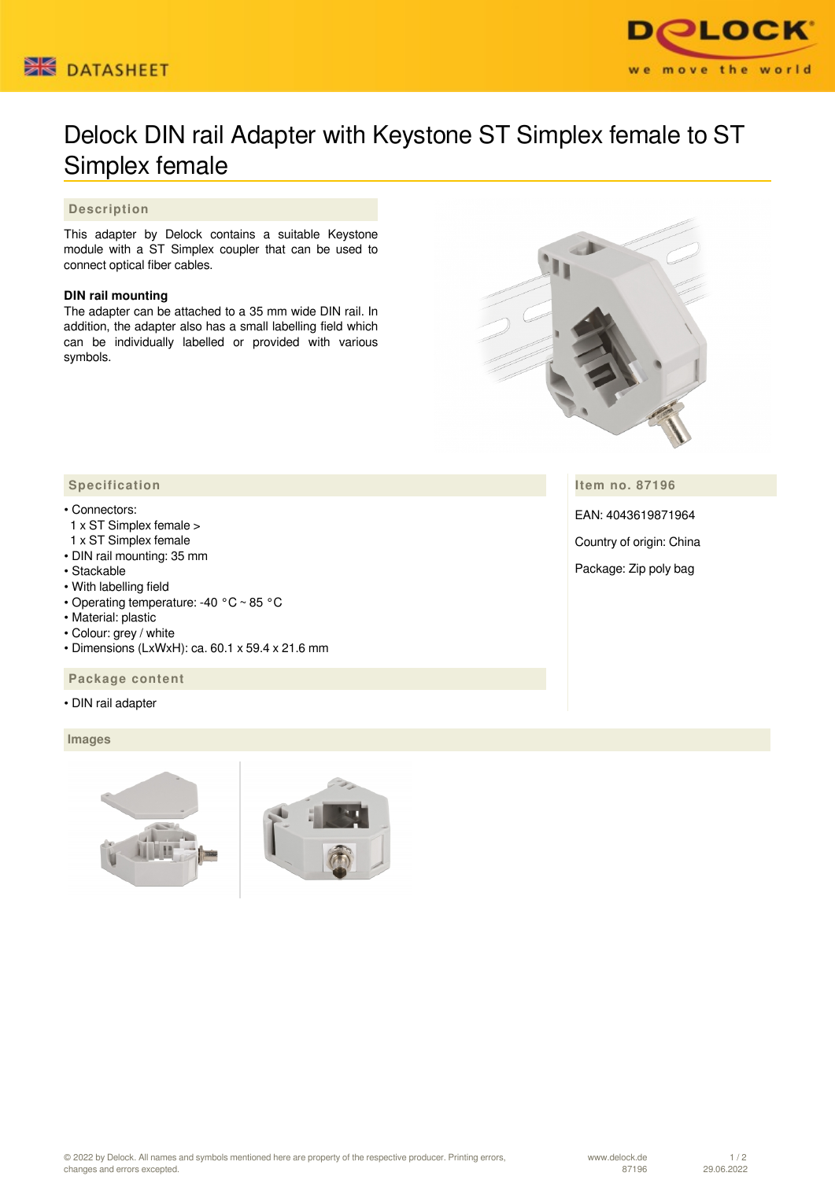



# Delock DIN rail Adapter with Keystone ST Simplex female to ST Simplex female

## **Description**

This adapter by Delock contains a suitable Keystone module with a ST Simplex coupler that can be used to connect optical fiber cables.

### **DIN rail mounting**

The adapter can be attached to a 35 mm wide DIN rail. In addition, the adapter also has a small labelling field which can be individually labelled or provided with various symbols.



**Item no. 87196**

EAN: 4043619871964

Country of origin: China

Package: Zip poly bag

## **Specification**

#### • Connectors:

- 1 x ST Simplex female >
- 1 x ST Simplex female
- DIN rail mounting: 35 mm
- Stackable
- With labelling field
- Operating temperature: -40 °C ~ 85 °C
- Material: plastic
- Colour: grey / white
- Dimensions (LxWxH): ca. 60.1 x 59.4 x 21.6 mm

 **Package content**

• DIN rail adapter

 **Images**